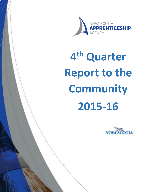

# **4 th Quarter Report to the Community 2015-16**

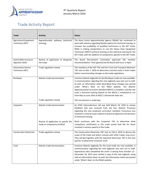

# Trade Activity Report

| <b>Trade</b>                                  | <b>Activity</b>                                                       | <b>Status</b>                                                                                                                                                                                                                                                                                                                                                                                                                                                              |
|-----------------------------------------------|-----------------------------------------------------------------------|----------------------------------------------------------------------------------------------------------------------------------------------------------------------------------------------------------------------------------------------------------------------------------------------------------------------------------------------------------------------------------------------------------------------------------------------------------------------------|
|                                               |                                                                       |                                                                                                                                                                                                                                                                                                                                                                                                                                                                            |
| Agricultural Equipment<br>Technician (AET)    | Apprenticeship pathway (technical<br>training)                        | The Nova Scotia Apprenticeship Agency (NSAA) has continued to<br>work with industry regarding flexible options for technical training, to<br>increase the availability of qualified technicians in the AET trade.<br>NSAA is making preparations to use the Heavy Duty Equipment<br>Technician (HDET) technical training as the technical training for the<br>AET trade, with the addition of components specific to the AET trade.                                        |
| Automobile Insurance<br>Appraiser (AIA)       | Review of application to designate<br>the trade                       | The Board Recruitment Committee approved TAC member<br>recommendation. Final approval by the Board will occur in April.                                                                                                                                                                                                                                                                                                                                                    |
| <b>Automotive Service</b><br>Technician (AST) | Trade regulation review                                               | The members of the AST TAC and the Truck and Transport Mechanic<br>TAC met on Mar 7, 2016 to determine common tasks in their trades<br>before recommending changes to the trade regulations.                                                                                                                                                                                                                                                                               |
| Bricklayer                                    | Atlantic trade harmonization                                          | Common Atlantic logbooks for the Bricklayer trade are now available.<br>A communication regarding the new logbooks was sent out to staff.<br>As well, an information sheet describing these changes was posted<br>under 'What's New' on the NSAA website. The Atlantic<br>Apprenticeship Curriculum Standard (AACS) is complete, and the new<br>Level 1 technical training (based on the AACS) is scheduled to run<br>from May to June 2016 at NSCC's Dartmouth Gate site. |
|                                               | Trade regulation review                                               | TAC recruitment is underway.                                                                                                                                                                                                                                                                                                                                                                                                                                               |
| Carpenter                                     | Atlantic trade harmonization                                          | An ATAC teleconference call was held March 10, 2016 to review<br>feedback that was received from the four Atlantic Provinces<br>regarding the new proposed curriculum standard. Consensus was<br>reached on several issues related to practical objectives and duration<br>of technical training.                                                                                                                                                                          |
|                                               | Review of application to specify the<br>trade as compulsory certified | Work continues with the Carpenter TAC to determine what<br>compulsory certification in this trade would look like for those<br>involved in various aspects of the trade.                                                                                                                                                                                                                                                                                                   |
| <b>Construction Electrician</b>               | Trade regulation review                                               | The Construction Electrician TAC met on Feb 4, 2016 to discuss the<br>scope of the trade and where overlap with other trades may occur.<br>They will get together with the Industrial Electrician TAC in the next<br>quarter to determine crossover work.                                                                                                                                                                                                                  |
| Cook                                          | Atlantic trade harmonization                                          | Common Atlantic logbooks for the Cook trade are now available. A<br>communication regarding the new logbooks was sent out to staff.<br>Apprentices who completed the Level-1 training from October 13 -<br>December 18, 2015 were mailed a copy of the new logbook, along<br>with an information sheet. As well, the information sheet was posted<br>under 'What's New' on the NSAA website.                                                                               |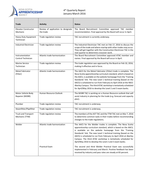

#### 4<sup>th</sup> Quarterly Report January-March 2016

| Trade                                        | <b>Activity</b>                    | <b>Status</b>                                                                                                                                                                                                                                                                                                                                                                                                                                                                            |
|----------------------------------------------|------------------------------------|------------------------------------------------------------------------------------------------------------------------------------------------------------------------------------------------------------------------------------------------------------------------------------------------------------------------------------------------------------------------------------------------------------------------------------------------------------------------------------------|
| <b>Elevator Constructor</b>                  | Review of application to designate | The Board Recruitment Committee approved TAC member                                                                                                                                                                                                                                                                                                                                                                                                                                      |
| Mechanic                                     | the trade                          | recommendation. Final approval by the Board will occur in April.                                                                                                                                                                                                                                                                                                                                                                                                                         |
| <b>Heavy Duty Equipment</b><br>Technician    | Trade regulation review            | TAC recruitment is currently underway.                                                                                                                                                                                                                                                                                                                                                                                                                                                   |
| <b>Industrial Electrician</b>                | Trade regulation review            | The Industrial Electrician TAC met on Feb 17, 2016 to discuss the<br>scope of the trade and where overlap with other trades may occur.<br>They will get together with the Construction Electrician TAC in the<br>next quarter to determine crossover work.                                                                                                                                                                                                                               |
| Instrumentation<br>Control Technician        | Atlantic trade harmonization       | The Board Recruitment Committee approved ATAC member and<br>names. Final approval by the Board will occur in April.                                                                                                                                                                                                                                                                                                                                                                      |
| <b>Marine Service</b><br>Technician          | Trade regulation review            | The trade regulation was approved by the Board on Feb 10, 2016,<br>making it effective and in force.                                                                                                                                                                                                                                                                                                                                                                                     |
| <b>Metal Fabricator</b><br>(Fitter)          | Atlantic trade harmonization       | The AACS for the Metal Fabricator (Fitter) trade is complete. The<br>Nova Scotia apprenticeship curriculum standard, which is based on<br>the AACS, is available on the website homepage from the 'Training<br>Standards' link. The new Level 1 technical training (based on the<br>AACS) is scheduled to run from February to April 2016 at the NSCC<br>Akerley Campus. The third ATAC workshop is tentatively scheduled<br>for April/May 2016 to develop the Level 2 and 3 exam banks. |
| Motor Vehicle Body<br>Repairer (MVBR)        | Human Resource Outlook             | The MVBR TAC is working on a Human Resource outlook that will<br>assist industry in planning for the trade (e.g. forecast and capacity<br>plan).                                                                                                                                                                                                                                                                                                                                         |
| Plumber                                      | Trade regulation review            | TAC recruitment is underway.                                                                                                                                                                                                                                                                                                                                                                                                                                                             |
| Steamfitter/Pipefitter                       | Trade regulation review            | TAC recruitment is underway.                                                                                                                                                                                                                                                                                                                                                                                                                                                             |
| <b>Truck and Transport</b><br>Mechanic (TTM) | Trade regulation review            | The members of the AST TAC and the TTM TAC met on Mar 7, 2016<br>to determine common tasks in their trades before recommending<br>changes to the trade regulations.                                                                                                                                                                                                                                                                                                                      |
| Welder                                       | Atlantic trade harmonization       | The AACS for the Welder trades is complete. The Nova Scotia<br>apprenticeship curriculum standard, which is based on the AACS,<br>is available on the website homepage from the 'Training<br>Standards' link. The new Level 1 technical training (based on the<br>AACS) is scheduled to run from February to April 2016 at Akerley<br>Campus. The third ATAC workshop is tentatively scheduled for<br>April/May 2016 to develop the Level 2 and 3 exam banks.                            |
|                                              | <b>Practical Exam</b>              | The second and third Welder Practical Exam was successfully<br>implemented in February and March. Positive feedback has been<br>received by industry and pass rates are steady at 83 percent.                                                                                                                                                                                                                                                                                            |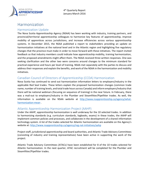**VOVA SCOTIA** TICESHIP AGENC

# Harmonization

### Harmonization Update

The Nova Scotia Apprenticeship Agency (NSAA) has been working with industry, training partners, and provincial/territorial apprenticeship colleagues to harmonize key features of apprenticeship, improve mobility of apprentices across jurisdictions, and increase efficiencies across various apprenticeship systems. In December 2015, the NSAA published a report to stakeholders providing an update on harmonization initiatives at the national level and in the Atlantic region and highlighting five regulatory changes that the province must make in order to move forward with these initiatives. The report invited feedback so that industry members could indicate how apprenticeship mobility, training harmonization, and the proposed amendments might affect them. The NSAA received three written responses. One was seeking clarification and the other two were concerns around changes to the minimum standard for practical experience and hours per level of training. NSAA met separately with the parties to discuss and address their responses and explain the benefits, and work of the NSAA in the harmonization and mobility initiatives.

## Canadian Council of Directors of Apprenticeship (CCDA) Harmonization

Nova Scotia has continued to send out harmonization information letters to employers/industry in the applicable Red Seal trades. These letters explain the proposed harmonization changes (common trade name, number of training levels, and total trade hours across Canada) and inform employers/industry that there will be national webinars (focusing on sequence of training) in the near future. In February, there was a mail-out to employers/industry in the Plumber and Steamfitter/Pipefitter trades. As well, the information is available on the NSAA website at [http://www.nsapprenticeship.ca/agency/what](http://www.nsapprenticeship.ca/agency/what-harmonization-mean)[harmonization-mean](http://www.nsapprenticeship.ca/agency/what-harmonization-mean) .

## Atlantic Apprenticeship Harmonization Project (AAHP)

Under the AAHP, apprenticeship harmonization is well underway for the 10 selected trades. In addition to harmonizing standards (e.g. curriculum standards, logbooks, exams) in these trades, the AAHP will implement common policies and processes, and collaborate in the development of a shared information technology system. A list of the trades selected for Atlantic harmonization are available on the Agency's website at:<http://www.nsapprenticeship.ca/agency/reg-nat-initiatives/aahp>

Project staff, jurisdictional apprenticeship and board authorities, and Atlantic Trade Advisory Committees (consisting of industry and training representatives) have been active in supporting the work of the project.

Atlantic Trade Advisory Committees (ATACs) have been established for 8 of the 10 trades selected for Atlantic harmonization. In the next quarter, ATAC recruitment will be completed for the Plumber and Steamfitter/Pipefitter trades.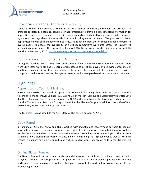

# Provincial-Territorial Apprentice Mobility

Canada's Premiers have created a Provincial-Territorial apprentice mobility agreement and protocol. The protocol obligates Ministers responsible for apprenticeship to provide clear, consistent information for apprentices and employers, and to recognize hours worked and technical training successfully completed by apprentices, regardless of the jurisdiction in which they were completed. The protocol applies to apprentices moving permanently or temporarily, and to recent graduates of college trades programs. Its overall goal is to ensure the availability of a skilled, competitive workforce across the country. All jurisdictions implemented the protocol in January 2016. Nova Scotia launched its apprentice mobility website on January 1, 2016 [\(http://www.nsapprenticeship.ca/apprentice-mobility\)](http://www.nsapprenticeship.ca/apprentice-mobility).

# Compliance and Enforcement Activities

During the fourth quarter of 2015-2016, enforcement officers conducted 234 random inspections. There were 38 written warnings and 11 verbal orders issued to assist employers in achieving compliance. In addition to planned inspections, compliance officers are also responsible for responding to written complaints. In the fourth quarter, the Agency received and investigated 6 written compliance complaints.

# **Highlights**

# Apprenticeship Technical Training

In February, the NSAA processed 142 applications for technical training. There were two cancellations due to zero enrollment – Power Engineer (B1, B2 and B3) at Marconi Campus and Steamfitter/Pipefitter Level 3 at the IT Campus. During the same period, the NSAA added new training for Powerline Technician Level 2 at the IT campus and Truck and Transport Level 3 at the Akerley Campus. In addition, the NSAA offered two one-day Blaster renewal programs in March.

The technical training schedule for 2016-2017 will be posted on April 4, 2016.

# Cook Panel

In January of 2016 the NSAA and NSCC worked with industry and government partners to conduct information sessions to increase awareness and registration in the new technical training now available for the Cook trade and expand the conversation to new stakeholders (mostly employers). The technical training is now a blended approach of in-class and on-line training and is spread over 10 weeks. With this change, clients are now only required to attend class 2 days while they are off so they can still work full time.

## On-line Blaster Renewal

The Blaster Renewal On-Line course has been updated using a new interactive software program called Storyline. The new software program is designed to facilitate full and interactive participation whereby participants' responses to questions direct their path forward to the next unit, or to a unit review before proceeding further.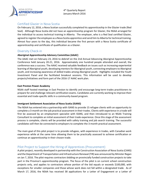**JOVA SCOTIA** TICESHIP

## Certified Glazier in Nova Scotia

On February 12, 2016, a Nova Scotian successfully completed his apprenticeship in the Glazier trade (Red Seal). Although Nova Scotia did not have an apprenticeship program for Glazier, the NSAA arranged for the individual to access technical training in Alberta. The employer, who is a Red Seal certified Glazier, agreed to register the employee as a Nova Scotia apprentice and send him to Alberta for technical training. Almost four years to the day, this individual became the first person with a Nova Scotia certificate of apprenticeship and certificate of qualification as a Glazier.

## Diversity Check-in

#### **Aboriginal Apprenticeship Advisory Committee (AAAC)**

The AAAC met on February 23, 2016 to debrief on the 2nd Annual Advancing Aboriginal Apprenticeship Conference held January 20-21, 2016. Approximately one hundred people attended and overall, the conference was a success. The AAAC received valuable feedback on issues such as increasing experiential learning of Aboriginal youth, developing mentors for Aboriginal youth, connecting employers to Aboriginal youth, and increasing awareness of skilled trades among Aboriginal youth. Highlights included the Youth Investment Panel and the facilitated breakout sessions. This information will be used to develop projects/initiatives and form part of the 2016-17 AAAC work plan.

#### **East Preston Power Academy**

NSAA staff hosted meetings in East Preston to identify and encourage long-term trades practitioners to prepare for and challenge relevant certification exams. Candidates are currently working to improve their essential and trade-specific skills in a community-based program.

#### **Immigrant Settlement Association of Nova Scotia (ISANS)**

The NSAA has entered into a partnership with ISANS to provide 15 refugee clients with an opportunity to complete a 3-month on-the-job practical assessment in their trades. Clients with experience in a trade will first be assessed by an employment specialist with ISANS, and then introduced to an NSAA Training Consultant to complete an initial assessment of their trade experience. Once this stage of the assessment process is complete, clients will be provided with safety training and job search training. The successful candidates will then be connected to employers to complete the 3-month practical assessment.

The main goal of this pilot project is to provide refugees, with experience in trades, with Canadian work experience while at the same time allowing them to be practically assessed to achieve certification or continue an apprenticeship in their chosen trade.

# Pilot Project to Support the Hiring of Apprentices (Procurement)

A pilot project, recently developed in partnership with the Construction Association of Nova Scotia (CANS) and the Department of Transportation and Infrastructure Renewal (TIR) was announced by Minister Regan on Jan 7, 2016. The pilot requires contractors bidding on provincially funded construction projects to take part in the Province's apprenticeship program. The focus of the pilot is on current school construction projects only, and applies to contractors whose portion of the bid equals or exceeds \$100,000, with exceptions for smaller companies and those whose work does not fall within a designated trade. As of March 17, 2016, the NSAA has received 38 applications for a Letter of Engagement or a Letter of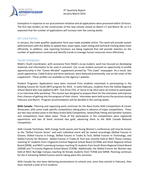

Exemption in response to our procurement initiative and all applications were processed within 24 hours. The first two tenders on the construction of the new schools closed on March 17 and March 30, so it is expected that the number of applications will increase over the coming weeks.

#### On-Line Forms

In January, the trade qualifier application form was made available online. This work will provide system administrators with the ability to update fees, exam types, exam sitting and technical training dates more efficiently. In addition, new reporting functions are being explored that will provide statistics on the number of applications received and identify trends to manage human resources more effectively.

#### Youth Initiatives

NSAA's Youth Coordinator, with assistance from NSAA's co-op student, work has focused on developing materials and information to be used in outreach. Our co-op student pursued an opportunity to profile apprenticeship in the "Career Minded" supplement printed by "The Coast" newspaper. As a result, two youth apprentices, Caleb Erskine and Anne Jamieson, were featured prominently; one on the cover of the supplement. These profiles are available on the Agency's website.

Student Programs: Applications have been received from students interested in participating in the Building Futures for Youth (BFY) program for 2016. In early February, students from the Halifax Regional School Board who had applied to BFY, Test Drive (TD), or Serve-it-Up (SIU) were all invited to participate in an interview skills workshop. This session was designed to prepare them for the interviews and improve their chances of getting into the program of their choice. Interviews were held across the province during February and March. Program accommodation will be decided in the coming weeks.

**Skills Canada:** Planning and organizing work continues for the Nova Scotia Skills Competitions & Career Showcases, with some trade specific competitions taking place in advance of major competitions. There are two new contest areas in the Nova Scotia Skills Competition, Steam/Pipe Fitting and Sprinkler Systems and competitions have taken place. Three of the participants in the competitions were registered apprentices and two of them received two gold, advancing them to the Skills Canada National Competition.

Skills Canada Techshops, Skills Energy Youth quests and Young Women's conferences will now be known as the "Skilled Futures Series" and each individual event will be named accordingly (Skilled Futures in Oceans, Skilled Futures in Energy, Skilled Futures in Trades & Tech, Skilled Futures in Technology, and Skilled Futures for Women). Skilled Futures in Trades & Tech was recently held at NSCC Pictou Campus reaching 67 students from Chignecto-Central Regional School Board (CCRSB) and Strait Regional School Board (SRSB), and NSCC Lunenburg Campus reaching 55 students from South Shore Regional School Board (SSRSB) and Tri-County Regional School Board (TCRSB). Additionally, the Skilled Futures for Women was held at NSCC Burridge Campus reaching 56 female students from TCRSB and SSRSB. Planning continues for the 4 remaining Skilled Futures events taking place this semester.

Skills Canada has also been delivering presentations to schools and, since they started in February, they have reached a total of 512 students.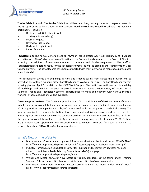

**Trades Exhibition Hall:** The Trades Exhibition Hall has been busy hosting students to explore careers in the 15 represented building trades. In February and March the Hall was visited by 6 schools (155 individual participants) including:

- Dr. John Hugh Gillis High School
- St. Mary's Bay Academy)
- Drumlin Heights
- Riverview High School
- Dartmouth High School
- Pictou Academy

**Techploration:** The Annual General Meeting (AGM) of Techsploration was held February 17 at REDspace Inc. in Bedford. The AGM resulted in reaffirmation of the President and members of the Board of Directors including the addition of two new members: Lisa Boyle and Estelle Jacquemard. The Staff of Techsploration are getting ready for the Techsplorer events, as well as planning the Techsploration Goes to School events. The school teams have been connected with their mentors and many have participated in worksite visits.

The Techsplorer events are beginning in April and student teams from across the Province will be attending one of three events in either Port Hawkesbury, Wolfville, or Truro. The Port Hawkesbury event is taking place on April 7th and 8th at the NSCC Strait Campus. The participants will take part in a full day of workshops and activities designed to provide information about a wide variety of careers in the Sciences, Trades and Technology sectors; opportunities to meet and network with various mentors working in those occupations will be available.

**Canada Apprentice Loan:** The Canada Apprentice Loan (CAL) is an initiative of the Government of Canada to help apprentices complete their apprenticeship program in a designated Red Seal trade. Since January 2015, apprentices can apply for up to \$4,000 in interest-free loans per period of technical training. The money is available to help pay for tuition, tools, equipment and living expenses, and to cover any lost wages. Apprentices do not have to make payments on their CAL and no interest will accumulate until after the apprentice completes or leaves their Apprenticeship training program. As of January 31, 2016, there are 589 Nova Scotia apprentices who received 610 disbursements from CAL for a total of \$2,324,100 representing about 10% of Nova Scotia's apprentices.

#### What's New on the Website

- Bricklayer and Cook Atlantic Logbook information sheet can be found under 'What's New': http://www.nsapprenticeship.ca/sites/default/files/docs/pubs/atl-logbook-client-letter.pdf
- Industry Harmonization Consultation Letter for Plumber and Steamfitter/Pipefitter has been added to the Atlantic Trade Advisory Committees (ATACs) webpage: http://www.nsapprenticeship.ca/agency/atacs
- Welder and Metal Fabricator Nova Scotia curriculum standards can be found under 'Training Standards': http://apprenticeship.nscc.ca/info/apprenticeship2/curriculum.htm
- Information about how to renew Blaster Certification can be found under 'What's New': http://www.nsapprenticeship.ca/trades/blaster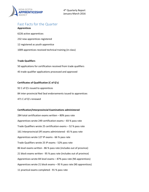

# Fast Facts for the Quarter

#### **Apprentices**

 active apprentices new apprentices registered registered as youth apprentice 1009 apprentices received technical training (in class)

#### **Trade Qualifiers**

50 applications for certification received from trade qualifiers 45 trade qualifier applications processed and approved

#### **Certificates of Qualification (C of Q's)**

92 C of Q's issued to apprentices 84 inter-provincial Red Seal endorsements issued to apprentices 471 C of Q's renewed

#### **Certification/Interprovincial Examinations administered**

284 total certification exams written – 80% pass rate Apprentices wrote 249 certification exams – 83 % pass rate Trade Qualifiers wrote 25 certification exams – 52 % pass rate 161 Interprovincial (IP) exams administered - 65 % pass rate Apprentices wrote 127 IP exams - 66 % pass rate Trade Qualifiers wrote 25 IP exams - 52% pass rate 86 level exams written - 86 % pass rate (includes out of province) 21 block exams written - 95 % pass rate (includes out of province) Apprentices wrote 84 level exams – 87% pass rate (NS apprentices) Apprentices wrote 21 block exams – 95 % pass rate (NS apprentices) 11 practical exams completed - 91 % pass rate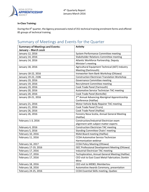

#### **In-Class Training:**

During the 4th quarter, the Agency processed a total of 351 technical training enrolment forms and offered 85 groups of technical training.

# Summary of Meetings and Events for the Quarter

| <b>Summary of Meetings and Events:</b> | <b>Activity</b>                                            |
|----------------------------------------|------------------------------------------------------------|
| January - March 2016                   |                                                            |
| January 12, 2016                       | System Performance Committee meeting                       |
| January 14, 2016                       | <b>Stakeholder Relations Committee meeting</b>             |
| January 14, 2016                       | Atlantic Workforce Partnership, Deputy                     |
|                                        | Minister's meeting                                         |
| January 18, 2016                       | Agricultural Equipment Technical (AET) Industry            |
|                                        | Meeting (Dartmouth)                                        |
| January 18-22, 2016                    | Ironworker Item Bank Workshop (Ottawa)                     |
| January 19-22, 2106                    | <b>Construction Electrician Translation Workshop</b>       |
| January 19, 2016                       | Governance Committee meeting                               |
| January 19, 2016                       | Recruitment Committee meeting                              |
| January 19, 2016                       | Cook Trade Panel (Yarmouth)                                |
| January 20, 2016                       | Automotive Service Technician TAC meeting                  |
| January 20, 2016                       | Cook Trade Panel (Kentville)                               |
| January 20-21, 2016                    | 2 <sup>nd</sup> Annual Advancing Aboriginal Apprenticeship |
|                                        | Conference (Halifax)                                       |
| January 21, 2016                       | Motor Vehicle Body Repairer TAC meeting                    |
| January 21, 2016                       | Cook Trade Panel (Truro)                                   |
| January 26, 2016                       | Cook Trade Panel (Halifax)                                 |
| January 26, 2016                       | Forestry Nova Scotia, Annual General Meeting               |
|                                        | (Halifax)                                                  |
| February 1-3, 2016                     | Construction/Industrial Electrician exam                   |
|                                        | alignment with subject matter experts                      |
| February 4, 2016                       | <b>Construction Electrician TAC meeting</b>                |
| February 5, 2016                       | <b>Standing Committee Chairs' meeting</b>                  |
| February 10, 2016                      | NSAA Board meeting (Halifax)                               |
| February 11, 2016                      | <b>CCDA Automotive Service Technician</b>                  |
|                                        | Harmonization webinar                                      |
| February 16, 2017                      | <b>CCDA Policy Meeting (Ottawa)</b>                        |
| February 17-19, 2016                   | <b>ISEC Professional Development Meeting (Ottawa)</b>      |
| February 17, 2016                      | Industrial Electrician TAC meeting                         |
| February 17, 2016                      | Techsploration, Annual General Meeting (Halifax)           |
| February 17, 2016                      | CEO visit to East Coast Metal Fabrication; Donkin          |
|                                        | Mine                                                       |
| February 18, 2016                      | CEO visit to MEBO; Membertou                               |
| February 18, 2016                      | Automotive Awards Ceremony, presentation                   |
| February 24-25, 2016                   | <b>CCDA Essential Skills meeting, Quebec</b>               |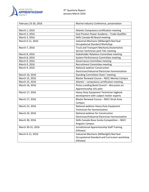

#### 4<sup>th</sup> Quarterly Report January-March 2016

| February 25-26, 2016 | Marine Industry Conference, presentation         |
|----------------------|--------------------------------------------------|
|                      |                                                  |
| March 1, 2016        | Atlantic Compulsory certification meeting        |
| March 2, 2016        | East Preston Power Academy - Trade Qualifier     |
| March 3, 2016        | Skills Canada-NS Board meeting                   |
| March 6-11, 2016     | Industrial Mechanic (Millwright) Red Seal        |
|                      | <b>Occupational Standard Workshop</b>            |
| March 7, 2016        | Truck and Transport Mechanic/Automotive          |
|                      | Service Technician joint TAC meeting             |
| March 8, 2016        | Stakeholder Relations Committee meeting          |
| March 8, 2016        | System Performance Committee meeting             |
| March 9, 2016        | Governance Committee meeting                     |
| March 9, 2016        | <b>Recruitment Committee meeting</b>             |
| March 9, 2016        | <b>National webinar Construction</b>             |
|                      | Electrician/Industrial Electrician harmonization |
| March 10, 2016       | <b>Standing Committee Chairs' meeting</b>        |
| March 15, 2016       | Blaster Renewal Course - NSCC Akerley Campus     |
| March 15, 2016       | Atlantic - compulsory certification meeting      |
| March 16, 2016       | Pictou Landing Band Council - discussion on      |
|                      | Apprenticeship 101 pilot                         |
| March 17, 2016       | Heavy Duty Equipment Technician logbook          |
|                      | development with subject matter experts          |
| March 17, 2016       | Blaster Renewal Course - NSCC Strait Area        |
|                      | Campus                                           |
| March 22, 2016       | National webinar Heavy Duty Equipment            |
|                      | Technician for harmonization                     |
| March 24, 2016       | National webinar for Construction                |
|                      | Electrician/Industrial Electrician harmonization |
| March 30, 2016       | Skills Canada-Nova Scotia Competition - NSCC     |
|                      | Kingstec Campus                                  |
| March 30-31, 2016    | Jurisdictional Apprenticeship Staff Training     |
|                      | (Ottawa)                                         |
| March 6-11, 2016     | Industrial Mechanic (Millwright) Red Seal        |
|                      | Occupational Standard and Curriculum workshop    |
|                      | (Ottawa)                                         |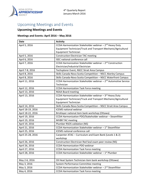

# Upcoming Meetings and Events

# **Upcoming Meetings and Events**

### **Meetings and Events: April 2016 – May 2016**

| <b>Date</b>       | <b>Activity</b>                                                             |
|-------------------|-----------------------------------------------------------------------------|
| April 5, 2016     | CCDA Harmonization Stakeholder webinar - 2 <sup>nd</sup> Heavy Duty         |
|                   | Equipment Technician/Truck and Transport Mechanic/Agricultural              |
|                   | <b>Equipment Technician</b>                                                 |
| April 5, 2016     | <b>Construction Electrician TAC meeting</b>                                 |
| April 6, 2016     | <b>ISEC national conference call</b>                                        |
| April 7, 2016     | CCDA Harmonization Stakeholder webinar $-2^{nd}$ Construction               |
|                   | Electrician/Industrial Electrician                                          |
| April 7-8, 2016   | Techsplorer Event, NSCC Strait Area Campus                                  |
| April 8, 2016     | Skills Canada-Nova Scotia Competition - NSCC Akerley Campus                 |
| April 8, 2016     | Skills Canada-Nova Scotia Competition - NSCC Waterfront Campus              |
| April 11, 2016    | CCDA Harmonization Stakeholder webinar - 2 <sup>nd</sup> Automotive Service |
|                   | Technician                                                                  |
| April 12, 2016    | <b>CCDA Harmonization Task Force meeting</b>                                |
| April 13, 2016    | <b>NSAA Board meeting</b>                                                   |
| April 13, 2016    | CCDA Harmonization Stakeholder webinar - 3rd Heavy Duty                     |
|                   | Equipment Technician/Truck and Transport Mechanic/Agricultural              |
|                   | <b>Equipment Technician</b>                                                 |
| April 14, 2016    | Skills Canada-Nova Scotia Competition - NSCC Strait Area Campus             |
| April 18-19, 2016 | <b>ICEMS</b> national webinar                                               |
| April 18-22, 2016 | Bricklayer national item bank workshop (Ottawa)                             |
| April 19, 2016    | CCDA Harmonization PDO/Stakeholder webinar - Steamfitter                    |
| April 19, 2016    | <b>MVBR TAC meeting</b>                                                     |
| April 19, 2016    | Plumber RSOS validation (NS)                                                |
| April 21, 2016    | CCDA Harmonization Stakeholder webinar - 1 <sup>st</sup> Steamfitter        |
| April 25, 2016    | <b>ICEMS</b> national conference call                                       |
| April 25-28, 2016 | Carpenter ATAC - Curriculum and Exam Bank (Levels 1 & 2)                    |
|                   | workshop                                                                    |
| April 26, 2016    | Construction Electrician Red Seal exam peer review (NS)                     |
| April 26, 2016    | <b>CCDA Harmonization PDO webinar</b>                                       |
| April 27, 2016    | <b>CCDA Harmonization Task Force meeting</b>                                |
| April 28, 2016    | CCDA Harmonization Stakeholder webinar $-1^{st}$ Plumber                    |
|                   |                                                                             |
| May 2-6, 2016     | Oil Heat System Technician item bank workshop (Ottawa)                      |
| May 3, 2016       | System Performance Committee meeting                                        |
| May 3, 2016       | CCDA Harmonization Stakeholder webinar $-2^{nd}$ Steamfitter                |
| May 4, 2016       | <b>CCDA Harmonization Task Force meeting</b>                                |